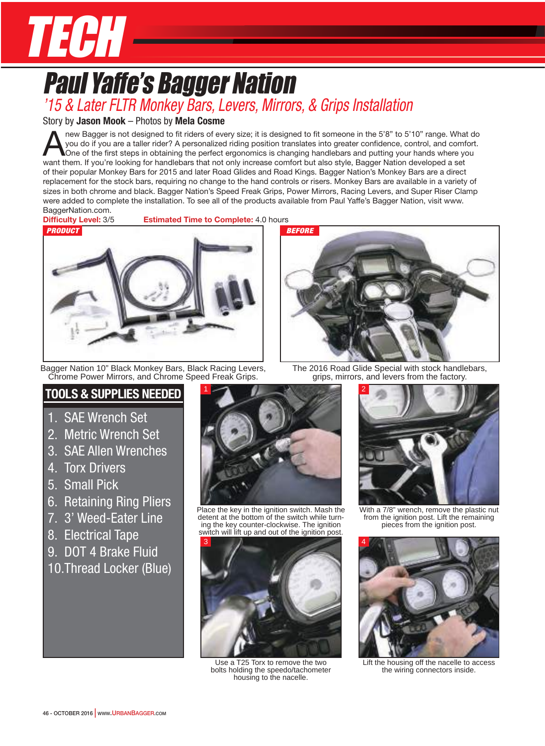

## Paul Yaffe's Bagger Nation *'15 & Later FLTR Monkey Bars, Levers, Mirrors, & Grips Installation*

#### Story by **Jason Mook** – Photos by **Mela Cosme**

new Bagger is not designed to fit riders of every size; it is designed to fit someone in the 5'8" to 5'10" range. What do you do if you are a taller rider? A personalized riding position translates into greater confidence, you do if you are a taller rider? A personalized riding position translates into greater confidence, control, and comfort. want them. If you're looking for handlebars that not only increase comfort but also style, Bagger Nation developed a set of their popular Monkey Bars for 2015 and later Road Glides and Road Kings. Bagger Nation's Monkey Bars are a direct replacement for the stock bars, requiring no change to the hand controls or risers. Monkey Bars are available in a variety of sizes in both chrome and black. Bagger Nation's Speed Freak Grips, Power Mirrors, Racing Levers, and Super Riser Clamp were added to complete the installation. To see all of the products available from Paul Yaffe's Bagger Nation, visit www. BaggerNation.com.

**Difficulty Level:** 3/5 **Estimated Time to Complete:** 4.0 hours



Bagger Nation 10" Black Monkey Bars, Black Racing Levers, Chrome Power Mirrors, and Chrome Speed Freak Grips.

### **Tools & supplies Needed**

- 1. SAE Wrench Set
- 2. Metric Wrench Set
- 3. SAE Allen Wrenches
- 4. Torx Drivers
- 5. Small Pick
- 6. Retaining Ring Pliers
- 7. 3' Weed-Eater Line
- 8. Electrical Tape
- 9. DOT 4 Brake Fluid
- 10.Thread Locker (Blue)



Place the key in the ignition switch. Mash the detent at the bottom of the switch while turning the key counter-clockwise. The ignition switch will lift up and out of the ignition post.



Use a T25 Torx to remove the two bolts holding the speedo/tachometer housing to the nacelle.



The 2016 Road Glide Special with stock handlebars, grips, mirrors, and levers from the factory.



With a 7/8" wrench, remove the plastic nut from the ignition post. Lift the remaining pieces from the ignition post.



Lift the housing off the nacelle to access the wiring connectors inside.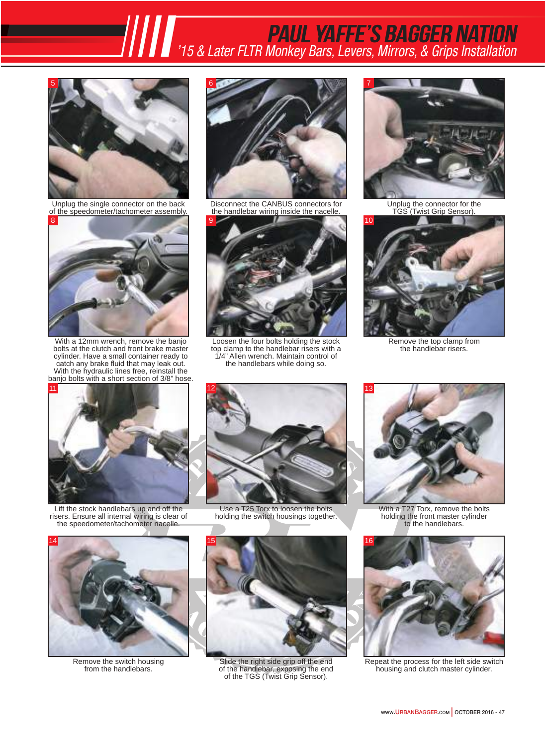## Paul Yaffe's Bagger NatioN*PAUL YAFFE'S BAGGER NATION*<br>15 & Later FLTR Monkey Bars, Levers, Mirrors, & Grips Installation<sup>1</sup>



Unplug the single connector on the back of the speedometer/tachometer assembly.



With a 12mm wrench, remove the banjo bolts at the clutch and front brake master cylinder. Have a small container ready to catch any brake fluid that may leak out. With the hydraulic lines free, reinstall the banjo bolts with a short section of 3/8" hose.



Disconnect the CANBUS connectors for the handlebar wiring inside the nacelle.



Loosen the four bolts holding the stock top clamp to the handlebar risers with a 1/4" Allen wrench. Maintain control of the handlebars while doing so.



Unplug the connector for the TGS (Twist Grip Sensor).



Remove the top clamp from the handlebar risers.



Lift the stock handlebars up and off the risers. Ensure all internal wiring is clear of the speedometer/tachometer nacelle.



Use a T25 Torx to loosen the bolts holding the switch housings together.



With a T27 Torx, remove the bolts holding the front master cylinder to the handlebars.



Remove the switch housing from the handlebars.



Slide the right side grip off the end of the handlebar, exposing the end of the TGS (Twist Grip Sensor).



Repeat the process for the left side switch housing and clutch master cylinder.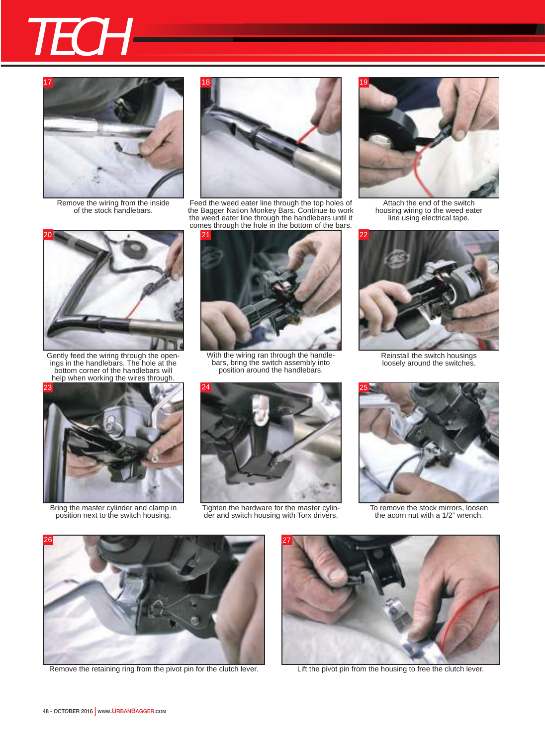



Remove the wiring from the inside of the stock handlebars.



Gently feed the wiring through the openings in the handlebars. The hole at the bottom corner of the handlebars will help when working the wires through.



Bring the master cylinder and clamp in position next to the switch housing.



Feed the weed eater line through the top holes of the Bagger Nation Monkey Bars. Continue to work the weed eater line through the handlebars until it comes through the hole in the bottom of the bars.



With the wiring ran through the handlebars, bring the switch assembly into position around the handlebars.



Tighten the hardware for the master cylinder and switch housing with Torx drivers.



Attach the end of the switch housing wiring to the weed eater line using electrical tape.



Reinstall the switch housings loosely around the switches.



To remove the stock mirrors, loosen the acorn nut with a 1/2" wrench.



Remove the retaining ring from the pivot pin for the clutch lever.<br>Lift the pivot pin from the housing to free the clutch lever.

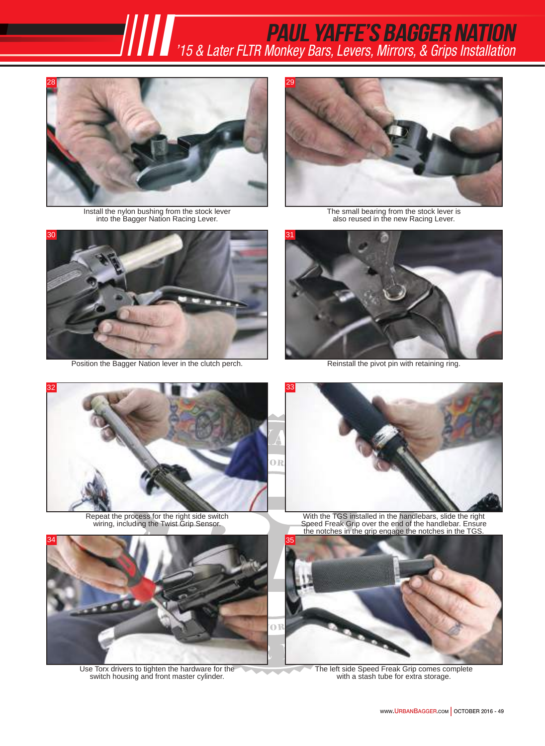Paul Yaffe's Bagger NatioN*PAUL YAFFE'S BAGGER NATION*<br> *IIIII'***<sub>15 & Later FLTR Monkey Bars, Levers, Mirrors, & Grips Installation<sup>2</sup>**</sub>



Install the nylon bushing from the stock lever into the Bagger Nation Racing Lever.



Position the Bagger Nation lever in the clutch perch. Reinstall the pivot pin with retaining ring.



The small bearing from the stock lever is also reused in the new Racing Lever.





Repeat the process for the right side switch wiring, including the Twist Grip Sensor.



Use Torx drivers to tighten the hardware for the switch housing and front master cylinder.



With the TGS installed in the handlebars, slide the right Speed Freak Grip over the end of the handlebar. Ensure the notches in the grip engage the notches in the TGS.



The left side Speed Freak Grip comes complete with a stash tube for extra storage.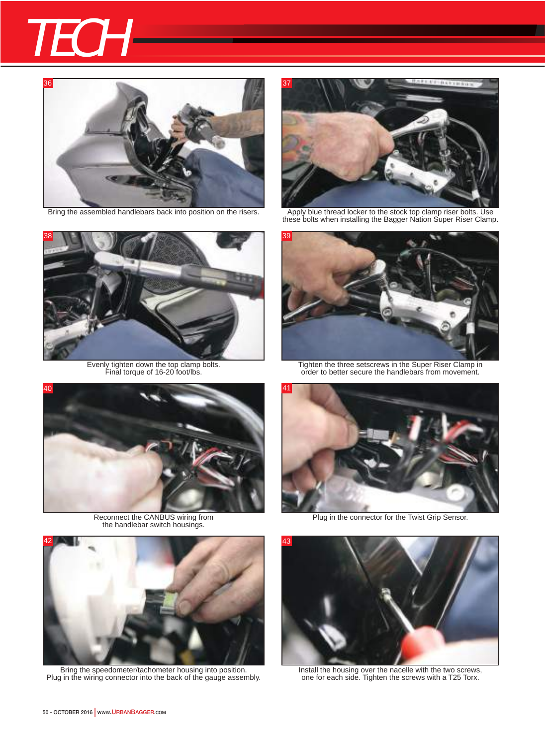# **TECH**





Evenly tighten down the top clamp bolts. Final torque of 16-20 foot/lbs.



Reconnect the CANBUS wiring from the handlebar switch housings.



Bring the speedometer/tachometer housing into position. Plug in the wiring connector into the back of the gauge assembly.



Bring the assembled handlebars back into position on the risers. Apply blue thread locker to the stock top clamp riser bolts. Use these bolts when installing the Bagger Nation Super Riser Clamp.



Tighten the three setscrews in the Super Riser Clamp in order to better secure the handlebars from movement.



Plug in the connector for the Twist Grip Sensor.



Install the housing over the nacelle with the two screws, one for each side. Tighten the screws with a T25 Torx.